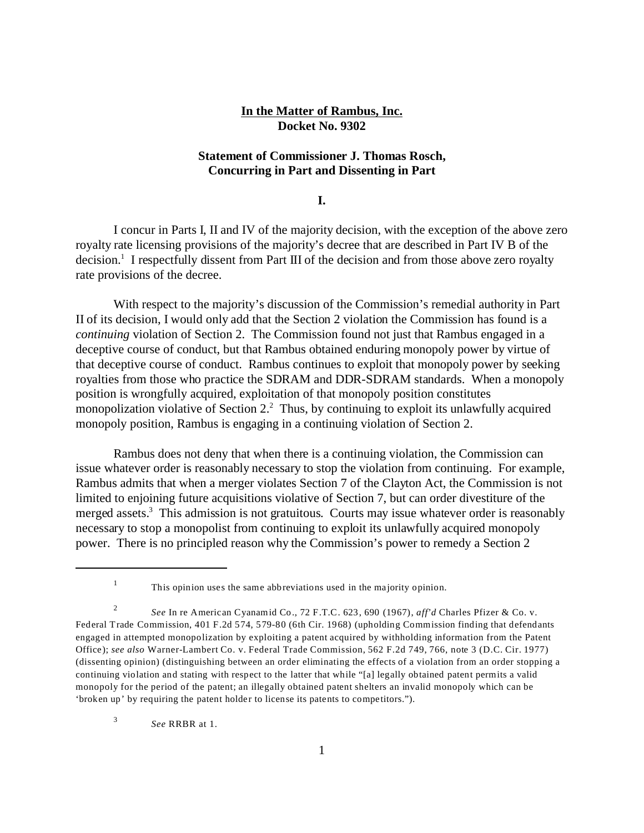## **In the Matter of Rambus, Inc. Docket No. 9302**

# **Statement of Commissioner J. Thomas Rosch, Concurring in Part and Dissenting in Part**

**I.**

I concur in Parts I, II and IV of the majority decision, with the exception of the above zero royalty rate licensing provisions of the majority's decree that are described in Part IV B of the decision.<sup>1</sup> I respectfully dissent from Part III of the decision and from those above zero royalty rate provisions of the decree.

With respect to the majority's discussion of the Commission's remedial authority in Part II of its decision, I would only add that the Section 2 violation the Commission has found is a *continuing* violation of Section 2. The Commission found not just that Rambus engaged in a deceptive course of conduct, but that Rambus obtained enduring monopoly power by virtue of that deceptive course of conduct. Rambus continues to exploit that monopoly power by seeking royalties from those who practice the SDRAM and DDR-SDRAM standards. When a monopoly position is wrongfully acquired, exploitation of that monopoly position constitutes monopolization violative of Section 2. $2$  Thus, by continuing to exploit its unlawfully acquired monopoly position, Rambus is engaging in a continuing violation of Section 2.

Rambus does not deny that when there is a continuing violation, the Commission can issue whatever order is reasonably necessary to stop the violation from continuing. For example, Rambus admits that when a merger violates Section 7 of the Clayton Act, the Commission is not limited to enjoining future acquisitions violative of Section 7, but can order divestiture of the merged assets.<sup>3</sup> This admission is not gratuitous. Courts may issue whatever order is reasonably necessary to stop a monopolist from continuing to exploit its unlawfully acquired monopoly power. There is no principled reason why the Commission's power to remedy a Section 2

<sup>1</sup> This opinion uses the same abbreviations used in the majority opinion.

<sup>2</sup> *See* In re American Cyanamid Co., 72 F.T.C. 623, 690 (1967), *aff'd* Charles Pfizer & Co. v. Federal Trade Commission, 401 F.2d 574, 579-80 (6th Cir. 1968) (upholding Commission finding that defendants engaged in attempted monopolization by exploiting a patent acquired by withholding information from the Patent Office); *see also* Warner-Lambert Co. v. Federal Trade Commission, 562 F.2d 749, 766, note 3 (D.C. Cir. 1977) (dissenting opinion) (distinguishing between an order eliminating the effects of a violation from an order stopping a continuing violation and stating with respect to the latter that while "[a] legally obtained patent permits a valid monopoly for the period of the patent; an illegally obtained patent shelters an invalid monopoly which can be 'broken up' by requiring the patent holder to license its patents to competitors.").

<sup>3</sup> *See* RRBR at 1.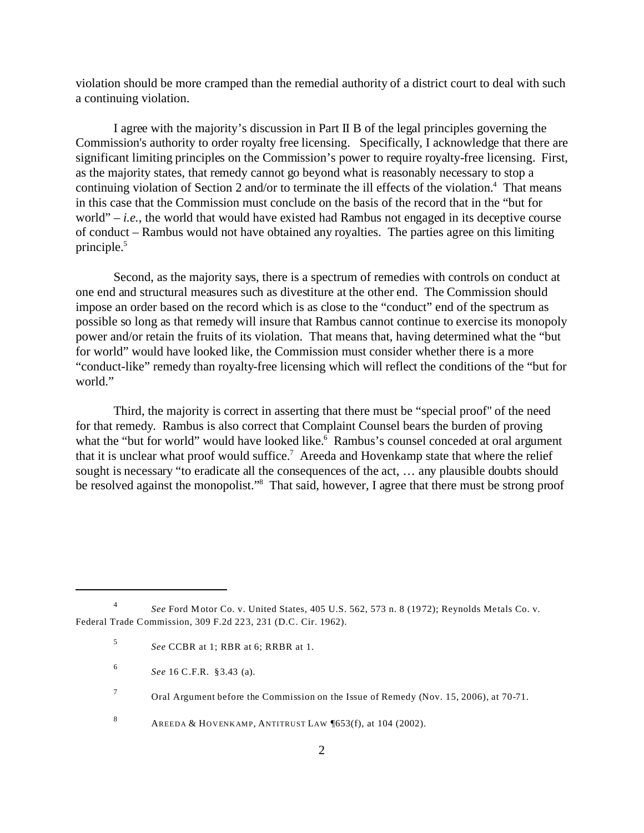violation should be more cramped than the remedial authority of a district court to deal with such a continuing violation.

I agree with the majority's discussion in Part II B of the legal principles governing the Commission's authority to order royalty free licensing. Specifically, I acknowledge that there are significant limiting principles on the Commission's power to require royalty-free licensing. First, as the majority states, that remedy cannot go beyond what is reasonably necessary to stop a continuing violation of Section 2 and/or to terminate the ill effects of the violation.<sup>4</sup> That means in this case that the Commission must conclude on the basis of the record that in the "but for world"  $-i.e.,$  the world that would have existed had Rambus not engaged in its deceptive course of conduct – Rambus would not have obtained any royalties. The parties agree on this limiting principle.<sup>5</sup>

Second, as the majority says, there is a spectrum of remedies with controls on conduct at one end and structural measures such as divestiture at the other end. The Commission should impose an order based on the record which is as close to the "conduct" end of the spectrum as possible so long as that remedy will insure that Rambus cannot continue to exercise its monopoly power and/or retain the fruits of its violation. That means that, having determined what the "but for world" would have looked like, the Commission must consider whether there is a more "conduct-like" remedy than royalty-free licensing which will reflect the conditions of the "but for world."

Third, the majority is correct in asserting that there must be "special proof" of the need for that remedy. Rambus is also correct that Complaint Counsel bears the burden of proving what the "but for world" would have looked like.<sup>6</sup> Rambus's counsel conceded at oral argument that it is unclear what proof would suffice.<sup>7</sup> Areeda and Hovenkamp state that where the relief sought is necessary "to eradicate all the consequences of the act, … any plausible doubts should be resolved against the monopolist."<sup>8</sup> That said, however, I agree that there must be strong proof

<sup>4</sup> *See* Ford Motor Co. v. United States, 405 U.S. 562, 573 n. 8 (1972); Reynolds Metals Co. v. Federal Trade Commission, 309 F.2d 223, 231 (D.C. Cir. 1962).

<sup>5</sup> *See* CCBR at 1; RBR at 6; RRBR at 1.

<sup>6</sup> *See* 16 C.F.R. §3.43 (a).

<sup>7</sup> Oral Argument before the Commission on the Issue of Remedy (Nov. 15, 2006), at 70-71.

<sup>8</sup> AREEDA & HOVENKAMP, ANTITRUST LAW  $\sqrt{653(f)}$ , at 104 (2002).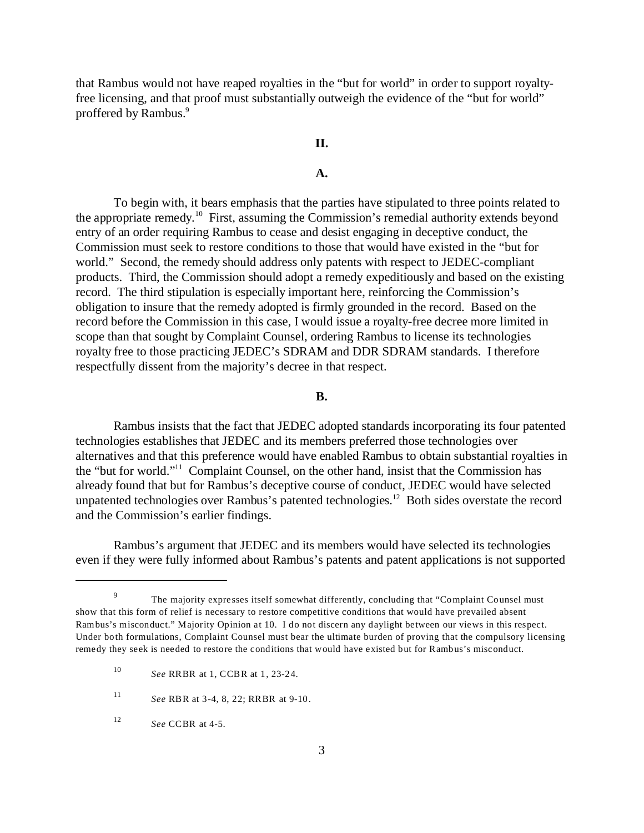that Rambus would not have reaped royalties in the "but for world" in order to support royaltyfree licensing, and that proof must substantially outweigh the evidence of the "but for world" proffered by Rambus.<sup>9</sup>

# **II.**

## **A.**

To begin with, it bears emphasis that the parties have stipulated to three points related to the appropriate remedy.<sup>10</sup> First, assuming the Commission's remedial authority extends beyond entry of an order requiring Rambus to cease and desist engaging in deceptive conduct, the Commission must seek to restore conditions to those that would have existed in the "but for world." Second, the remedy should address only patents with respect to JEDEC-compliant products. Third, the Commission should adopt a remedy expeditiously and based on the existing record. The third stipulation is especially important here, reinforcing the Commission's obligation to insure that the remedy adopted is firmly grounded in the record. Based on the record before the Commission in this case, I would issue a royalty-free decree more limited in scope than that sought by Complaint Counsel, ordering Rambus to license its technologies royalty free to those practicing JEDEC's SDRAM and DDR SDRAM standards. I therefore respectfully dissent from the majority's decree in that respect.

### **B.**

Rambus insists that the fact that JEDEC adopted standards incorporating its four patented technologies establishes that JEDEC and its members preferred those technologies over alternatives and that this preference would have enabled Rambus to obtain substantial royalties in the "but for world."<sup>11</sup> Complaint Counsel, on the other hand, insist that the Commission has already found that but for Rambus's deceptive course of conduct, JEDEC would have selected unpatented technologies over Rambus's patented technologies.<sup>12</sup> Both sides overstate the record and the Commission's earlier findings.

Rambus's argument that JEDEC and its members would have selected its technologies even if they were fully informed about Rambus's patents and patent applications is not supported

<sup>9</sup> The majority expresses itself somewhat differently, concluding that "Complaint Counsel must show that this form of relief is necessary to restore competitive conditions that would have prevailed absent Rambus's misconduct." Majority Opinion at 10. I do not discern any daylight between our views in this respect. Under both formulations, Complaint Counsel must bear the ultimate burden of proving that the compulsory licensing remedy they seek is needed to restore the conditions that would have existed but for Rambus's misconduct.

<sup>10</sup> *See* RRBR at 1, CCBR at 1, 23-24.

<sup>11</sup> *See* RBR at 3-4, 8, 22; RRBR at 9-10.

<sup>12</sup> *See* CCBR at 4-5.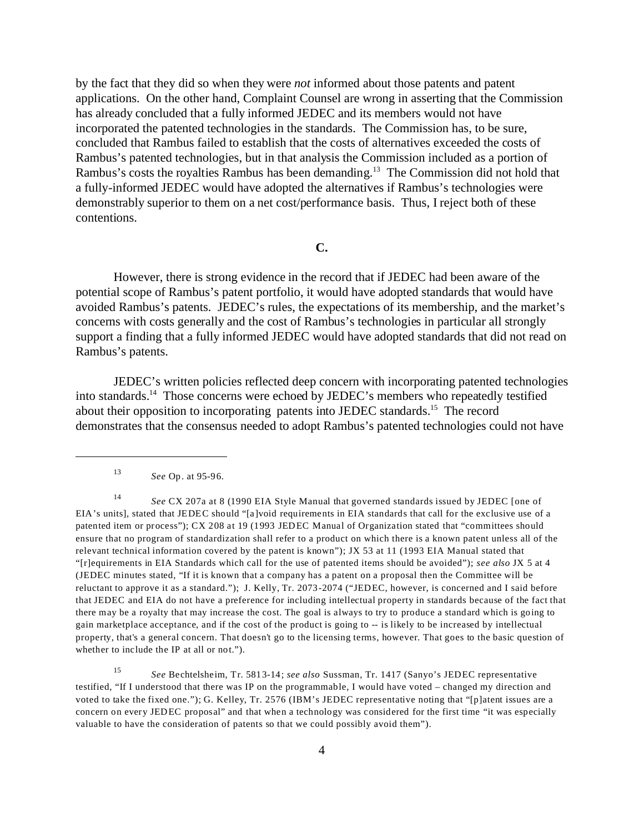by the fact that they did so when they were *not* informed about those patents and patent applications. On the other hand, Complaint Counsel are wrong in asserting that the Commission has already concluded that a fully informed JEDEC and its members would not have incorporated the patented technologies in the standards. The Commission has, to be sure, concluded that Rambus failed to establish that the costs of alternatives exceeded the costs of Rambus's patented technologies, but in that analysis the Commission included as a portion of Rambus's costs the royalties Rambus has been demanding.<sup>13</sup> The Commission did not hold that a fully-informed JEDEC would have adopted the alternatives if Rambus's technologies were demonstrably superior to them on a net cost/performance basis. Thus, I reject both of these contentions.

### **C.**

However, there is strong evidence in the record that if JEDEC had been aware of the potential scope of Rambus's patent portfolio, it would have adopted standards that would have avoided Rambus's patents. JEDEC's rules, the expectations of its membership, and the market's concerns with costs generally and the cost of Rambus's technologies in particular all strongly support a finding that a fully informed JEDEC would have adopted standards that did not read on Rambus's patents.

JEDEC's written policies reflected deep concern with incorporating patented technologies into standards.<sup>14</sup> Those concerns were echoed by JEDEC's members who repeatedly testified about their opposition to incorporating patents into JEDEC standards.<sup>15</sup> The record demonstrates that the consensus needed to adopt Rambus's patented technologies could not have

<sup>13</sup> *See* Op. at 95-96.

<sup>14</sup> *See* CX 207a at 8 (1990 EIA Style Manual that governed standards issued by JEDEC [one of EIA's units], stated that JEDEC should "[a]void requirements in EIA standards that call for the exclusive use of a patented item or process"); CX 208 at 19 (1993 JEDEC Manual of Organization stated that "committees should ensure that no program of standardization shall refer to a product on which there is a known patent unless all of the relevant technical information covered by the patent is known"); JX 53 at 11 (1993 EIA Manual stated that "[r]equirements in EIA Standards which call for the use of patented items should be avoided"); *see also* JX 5 at 4 (JEDEC minutes stated, "If it is known that a company has a patent on a proposal then the Committee will be reluctant to approve it as a standard."); J. Kelly, Tr. 2073-2074 ("JEDEC, however, is concerned and I said before that JEDEC and EIA do not have a preference for including intellectual property in standards because of the fact that there may be a royalty that may increase the cost. The goal is always to try to produce a standard which is going to gain marketplace acceptance, and if the cost of the product is going to -- is likely to be increased by intellectual property, that's a general concern. That doesn't go to the licensing terms, however. That goes to the basic question of whether to include the IP at all or not.").

<sup>15</sup> *See* Bechtelsheim, Tr. 5813-14; *see also* Sussman, Tr. 1417 (Sanyo's JEDEC representative testified, "If I understood that there was IP on the programmable, I would have voted – changed my direction and voted to take the fixed one."); G. Kelley, Tr. 2576 (IBM's JEDEC representative noting that "[p]atent issues are a concern on every JEDEC proposal" and that when a technology was considered for the first time "it was especially valuable to have the consideration of patents so that we could possibly avoid them").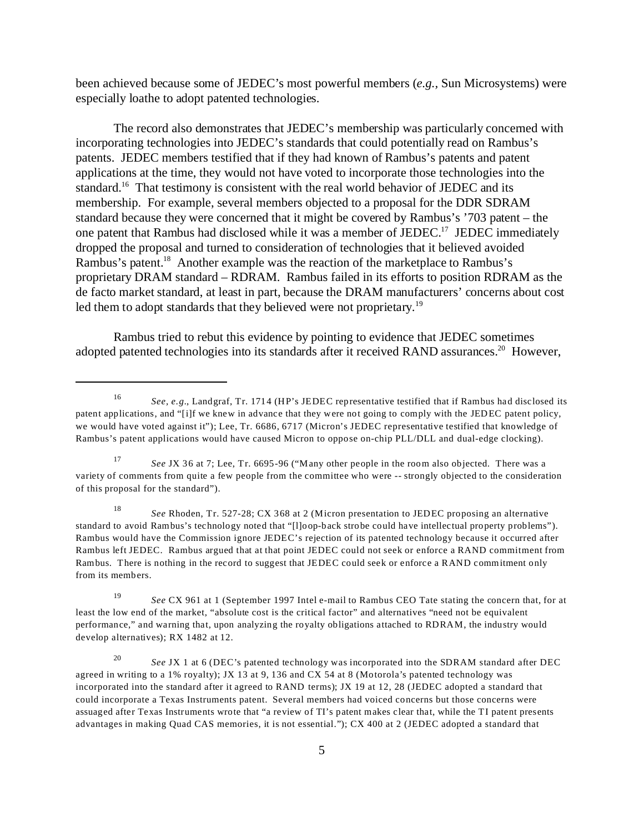been achieved because some of JEDEC's most powerful members (*e.g.,* Sun Microsystems) were especially loathe to adopt patented technologies.

The record also demonstrates that JEDEC's membership was particularly concerned with incorporating technologies into JEDEC's standards that could potentially read on Rambus's patents. JEDEC members testified that if they had known of Rambus's patents and patent applications at the time, they would not have voted to incorporate those technologies into the standard.<sup>16</sup> That testimony is consistent with the real world behavior of JEDEC and its membership. For example, several members objected to a proposal for the DDR SDRAM standard because they were concerned that it might be covered by Rambus's '703 patent – the one patent that Rambus had disclosed while it was a member of JEDEC.<sup>17</sup> JEDEC immediately dropped the proposal and turned to consideration of technologies that it believed avoided Rambus's patent.<sup>18</sup> Another example was the reaction of the marketplace to Rambus's proprietary DRAM standard – RDRAM. Rambus failed in its efforts to position RDRAM as the de facto market standard, at least in part, because the DRAM manufacturers' concerns about cost led them to adopt standards that they believed were not proprietary.<sup>19</sup>

Rambus tried to rebut this evidence by pointing to evidence that JEDEC sometimes adopted patented technologies into its standards after it received RAND assurances.<sup>20</sup> However,

<sup>16</sup> *See, e.g.*, Landgraf, Tr. 1714 (HP's JEDEC representative testified that if Rambus had disclosed its patent applications, and "[i]f we knew in advance that they were not going to comply with the JEDEC patent policy, we would have voted against it"); Lee, Tr. 6686, 6717 (Micron's JEDEC representative testified that knowledge of Rambus's patent applications would have caused Micron to oppose on-chip PLL/DLL and dual-edge clocking).

<sup>17</sup> *See* JX 36 at 7; Lee, Tr. 6695-96 ("Many other people in the room also objected. There was a variety of comments from quite a few people from the committee who were -- strongly objected to the consideration of this proposal for the standard").

<sup>18</sup> *See* Rhoden, Tr. 527-28; CX 368 at 2 (Micron presentation to JEDEC proposing an alternative standard to avoid Rambus's technology noted that "[l]oop-back strobe could have intellectual property problems"). Rambus would have the Commission ignore JEDEC's rejection of its patented technology because it occurred after Rambus left JEDEC. Rambus argued that at that point JEDEC could not seek or enforce a RAND commitment from Rambus. There is nothing in the record to suggest that JEDEC could seek or enforce a RAND commitment only from its members.

<sup>19</sup> *See* CX 961 at 1 (September 1997 Intel e-mail to Rambus CEO Tate stating the concern that, for at least the low end of the market, "absolute cost is the critical factor" and alternatives "need not be equivalent performance," and warning that, upon analyzing the royalty obligations attached to RDRAM, the industry would develop alternatives); RX 1482 at 12.

<sup>20</sup> *See* JX 1 at 6 (DEC's patented technology was incorporated into the SDRAM standard after DEC agreed in writing to a 1% royalty); JX 13 at 9, 136 and CX 54 at 8 (Motorola's patented technology was incorporated into the standard after it agreed to RAND terms); JX 19 at 12, 28 (JEDEC adopted a standard that could incorporate a Texas Instruments patent. Several members had voiced concerns but those concerns were assuaged after Texas Instruments wrote that "a review of TI's patent makes clear that, while the TI patent presents advantages in making Quad CAS memories, it is not essential."); CX 400 at 2 (JEDEC adopted a standard that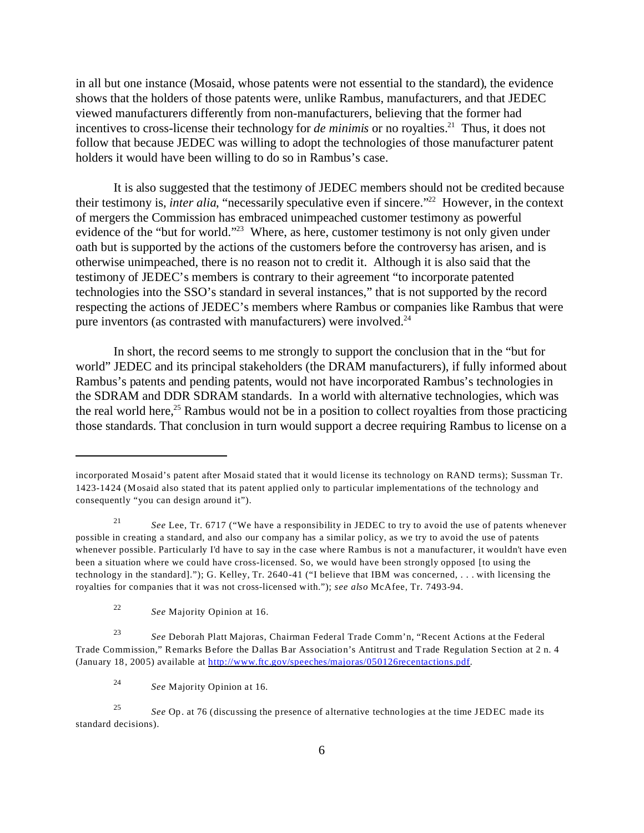in all but one instance (Mosaid, whose patents were not essential to the standard), the evidence shows that the holders of those patents were, unlike Rambus, manufacturers, and that JEDEC viewed manufacturers differently from non-manufacturers, believing that the former had incentives to cross-license their technology for *de minimis* or no royalties.<sup>21</sup> Thus, it does not follow that because JEDEC was willing to adopt the technologies of those manufacturer patent holders it would have been willing to do so in Rambus's case.

It is also suggested that the testimony of JEDEC members should not be credited because their testimony is, *inter alia*, "necessarily speculative even if sincere."<sup>22</sup> However, in the context of mergers the Commission has embraced unimpeached customer testimony as powerful evidence of the "but for world."<sup>23</sup> Where, as here, customer testimony is not only given under oath but is supported by the actions of the customers before the controversy has arisen, and is otherwise unimpeached, there is no reason not to credit it. Although it is also said that the testimony of JEDEC's members is contrary to their agreement "to incorporate patented technologies into the SSO's standard in several instances," that is not supported by the record respecting the actions of JEDEC's members where Rambus or companies like Rambus that were pure inventors (as contrasted with manufacturers) were involved.<sup>24</sup>

In short, the record seems to me strongly to support the conclusion that in the "but for world" JEDEC and its principal stakeholders (the DRAM manufacturers), if fully informed about Rambus's patents and pending patents, would not have incorporated Rambus's technologies in the SDRAM and DDR SDRAM standards. In a world with alternative technologies, which was the real world here,<sup>25</sup> Rambus would not be in a position to collect royalties from those practicing those standards. That conclusion in turn would support a decree requiring Rambus to license on a

incorporated Mosaid's patent after Mosaid stated that it would license its technology on RAND terms); Sussman Tr. 1423-1424 (Mosaid also stated that its patent applied only to particular implementations of the technology and consequently "you can design around it").

<sup>21</sup> *See* Lee, Tr. 6717 ("We have a responsibility in JEDEC to try to avoid the use of patents whenever possible in creating a standard, and also our company has a similar policy, as we try to avoid the use of patents whenever possible. Particularly I'd have to say in the case where Rambus is not a manufacturer, it wouldn't have even been a situation where we could have cross-licensed. So, we would have been strongly opposed [to using the technology in the standard]."); G. Kelley, Tr. 2640-41 ("I believe that IBM was concerned, . . . with licensing the royalties for companies that it was not cross-licensed with."); *see also* McAfee, Tr. 7493-94.

<sup>22</sup> *See* Majority Opinion at 16.

<sup>23</sup> *See* Deborah Platt Majoras, Chairman Federal Trade Comm'n, "Recent Actions at the Federal Trade Commission," Remarks Before the Dallas Bar Association's Antitrust and Trade Regulation Section at 2 n. 4 (January 18, 2005) available at <http://www.ftc.gov/speeches/majoras/050126recentactions.pdf>.

<sup>24</sup> *See* Majority Opinion at 16.

<sup>25</sup> *See* Op. at 76 (discussing the presence of alternative technologies at the time JEDEC made its standard decisions).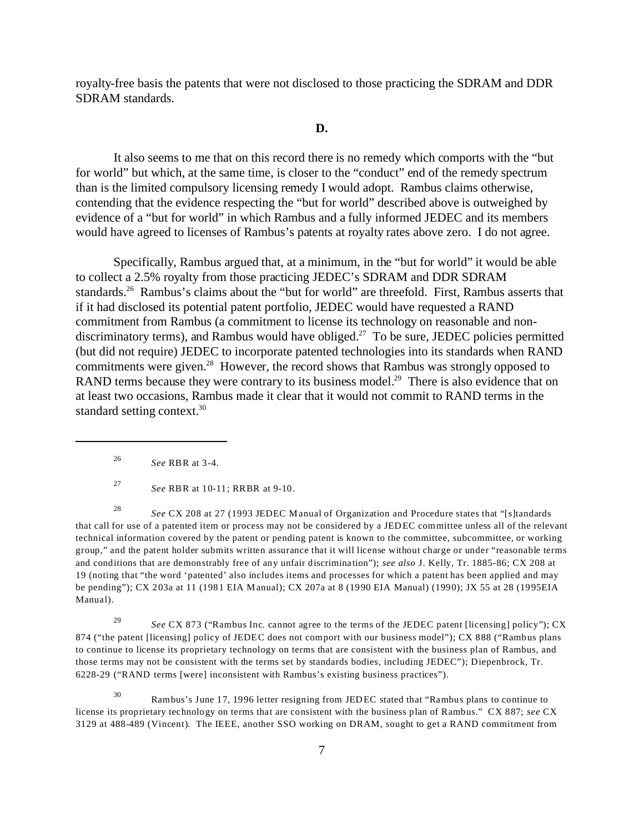royalty-free basis the patents that were not disclosed to those practicing the SDRAM and DDR SDRAM standards.

#### **D.**

It also seems to me that on this record there is no remedy which comports with the "but for world" but which, at the same time, is closer to the "conduct" end of the remedy spectrum than is the limited compulsory licensing remedy I would adopt. Rambus claims otherwise, contending that the evidence respecting the "but for world" described above is outweighed by evidence of a "but for world" in which Rambus and a fully informed JEDEC and its members would have agreed to licenses of Rambus's patents at royalty rates above zero. I do not agree.

Specifically, Rambus argued that, at a minimum, in the "but for world" it would be able to collect a 2.5% royalty from those practicing JEDEC's SDRAM and DDR SDRAM standards.<sup>26</sup> Rambus's claims about the "but for world" are threefold. First, Rambus asserts that if it had disclosed its potential patent portfolio, JEDEC would have requested a RAND commitment from Rambus (a commitment to license its technology on reasonable and nondiscriminatory terms), and Rambus would have obliged.<sup>27</sup> To be sure, JEDEC policies permitted (but did not require) JEDEC to incorporate patented technologies into its standards when RAND commitments were given.<sup>28</sup> However, the record shows that Rambus was strongly opposed to RAND terms because they were contrary to its business model.<sup>29</sup> There is also evidence that on at least two occasions, Rambus made it clear that it would not commit to RAND terms in the standard setting context.<sup>30</sup>

<sup>26</sup> *See* RBR at 3-4.

<sup>28</sup> *See* CX 208 at 27 (1993 JEDEC Manual of Organization and Procedure states that "[s]tandards that call for use of a patented item or process may not be considered by a JEDEC committee unless all of the relevant technical information covered by the patent or pending patent is known to the committee, subcommittee, or working group," and the patent holder submits written assurance that it will license without charge or under "reasonable terms and conditions that are demonstrably free of any unfair discrimination"); *see also* J. Kelly, Tr. 1885-86; CX 208 at 19 (noting that "the word 'patented' also includes items and processes for which a patent has been applied and may be pending"); CX 203a at 11 (1981 EIA Manual); CX 207a at 8 (1990 EIA Manual) (1990); JX 55 at 28 (1995EIA Manual).

<sup>29</sup> *See* CX 873 ("Rambus Inc. cannot agree to the terms of the JEDEC patent [licensing] policy"); CX 874 ("the patent [licensing] policy of JEDEC does not comport with our business model"); CX 888 ("Rambus plans to continue to license its proprietary technology on terms that are consistent with the business plan of Rambus, and those terms may not be consistent with the terms set by standards bodies, including JEDEC"); Diepenbrock, Tr. 6228-29 ("RAND terms [were] inconsistent with Rambus's existing business practices").

<sup>30</sup> Rambus's June 17, 1996 letter resigning from JEDEC stated that "Rambus plans to continue to license its proprietary technology on terms that are consistent with the business plan of Rambus." CX 887; *see* CX 3129 at 488-489 (Vincent). The IEEE, another SSO working on DRAM, sought to get a RAND commitment from

<sup>27</sup> *See* RBR at 10-11; RRBR at 9-10.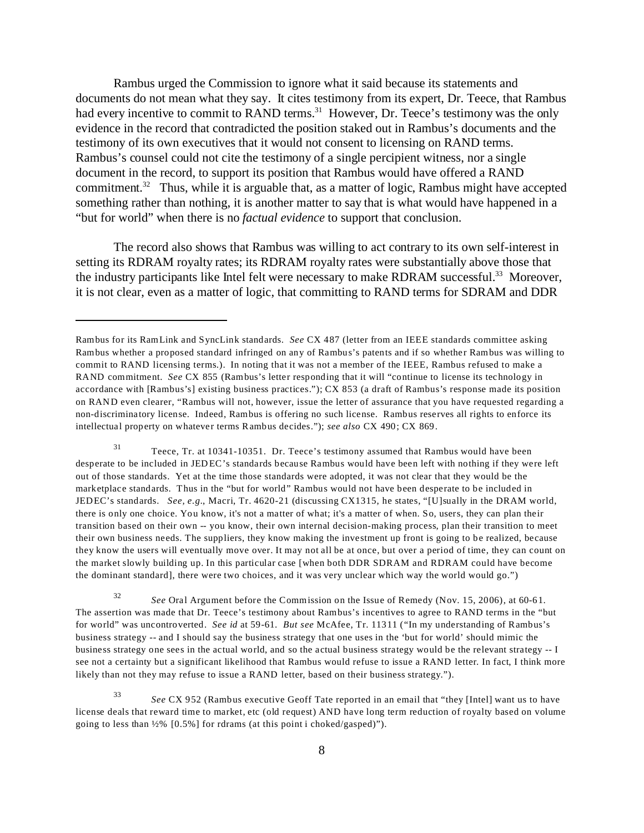Rambus urged the Commission to ignore what it said because its statements and documents do not mean what they say. It cites testimony from its expert, Dr. Teece, that Rambus had every incentive to commit to RAND terms.<sup>31</sup> However, Dr. Teece's testimony was the only evidence in the record that contradicted the position staked out in Rambus's documents and the testimony of its own executives that it would not consent to licensing on RAND terms. Rambus's counsel could not cite the testimony of a single percipient witness, nor a single document in the record, to support its position that Rambus would have offered a RAND commitment.<sup>32</sup> Thus, while it is arguable that, as a matter of logic, Rambus might have accepted something rather than nothing, it is another matter to say that is what would have happened in a "but for world" when there is no *factual evidence* to support that conclusion.

The record also shows that Rambus was willing to act contrary to its own self-interest in setting its RDRAM royalty rates; its RDRAM royalty rates were substantially above those that the industry participants like Intel felt were necessary to make RDRAM successful.<sup>33</sup> Moreover, it is not clear, even as a matter of logic, that committing to RAND terms for SDRAM and DDR

<sup>31</sup> Teece, Tr. at 10341-10351. Dr. Teece's testimony assumed that Rambus would have been desperate to be included in JEDEC's standards because Rambus would have been left with nothing if they were left out of those standards. Yet at the time those standards were adopted, it was not clear that they would be the marketplace standards. Thus in the "but for world" Rambus would not have been desperate to be included in JEDEC's standards. *See, e.g.*, Macri, Tr. 4620-21 (discussing CX1315, he states, "[U]sually in the DRAM world, there is only one choice. You know, it's not a matter of what; it's a matter of when. So, users, they can plan their transition based on their own -- you know, their own internal decision-making process, plan their transition to meet their own business needs. The suppliers, they know making the investment up front is going to be realized, because they know the users will eventually move over. It may not all be at once, but over a period of time, they can count on the market slowly building up. In this particular case [when both DDR SDRAM and RDRAM could have become the dominant standard], there were two choices, and it was very unclear which way the world would go.")

<sup>32</sup> *See* Oral Argument before the Commission on the Issue of Remedy (Nov. 15, 2006), at 60-61. The assertion was made that Dr. Teece's testimony about Rambus's incentives to agree to RAND terms in the "but for world" was uncontroverted. *See id* at 59-61. *But see* McAfee, Tr. 11311 ("In my understanding of Rambus's business strategy -- and I should say the business strategy that one uses in the 'but for world' should mimic the business strategy one sees in the actual world, and so the actual business strategy would be the relevant strategy -- I see not a certainty but a significant likelihood that Rambus would refuse to issue a RAND letter. In fact, I think more likely than not they may refuse to issue a RAND letter, based on their business strategy.").

<sup>33</sup> *See* CX 952 (Rambus executive Geoff Tate reported in an email that "they [Intel] want us to have license deals that reward time to market, etc (old request) AND have long term reduction of royalty based on volume going to less than ½% [0.5%] for rdrams (at this point i choked/gasped)").

Rambus for its RamLink and SyncLink standards. *See* CX 487 (letter from an IEEE standards committee asking Rambus whether a proposed standard infringed on any of Rambus's patents and if so whether Rambus was willing to commit to RAND licensing terms.). In noting that it was not a member of the IEEE, Rambus refused to make a RAND commitment. *See* CX 855 (Rambus's letter responding that it will "continue to license its technology in accordance with [Rambus's] existing business practices."); CX 853 (a draft of Rambus's response made its position on RAND even clearer, "Rambus will not, however, issue the letter of assurance that you have requested regarding a non-discriminatory license. Indeed, Rambus is offering no such license. Rambus reserves all rights to enforce its intellectual property on whatever terms Rambus decides."); *see also* CX 490; CX 869.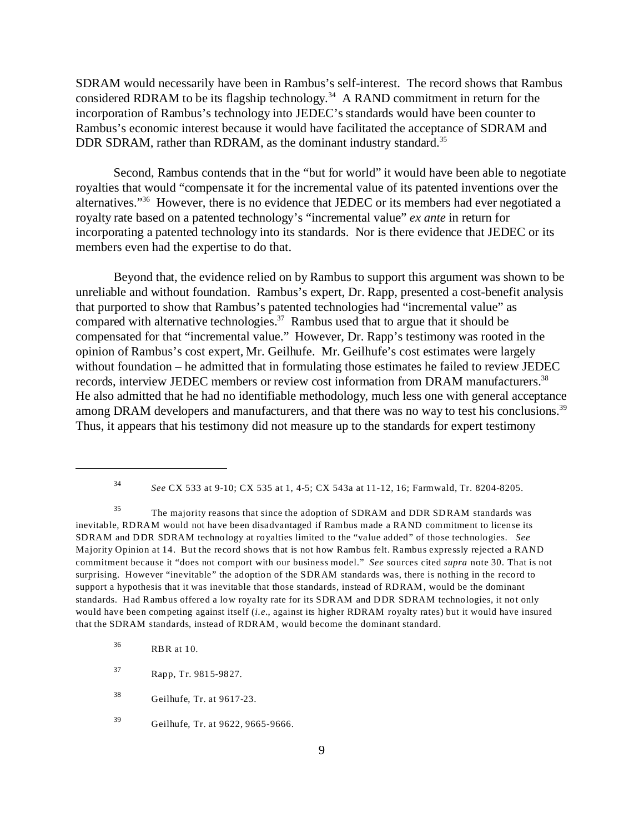SDRAM would necessarily have been in Rambus's self-interest. The record shows that Rambus considered RDRAM to be its flagship technology.<sup>34</sup> A RAND commitment in return for the incorporation of Rambus's technology into JEDEC's standards would have been counter to Rambus's economic interest because it would have facilitated the acceptance of SDRAM and DDR SDRAM, rather than RDRAM, as the dominant industry standard.<sup>35</sup>

Second, Rambus contends that in the "but for world" it would have been able to negotiate royalties that would "compensate it for the incremental value of its patented inventions over the alternatives."<sup>36</sup> However, there is no evidence that JEDEC or its members had ever negotiated a royalty rate based on a patented technology's "incremental value" *ex ante* in return for incorporating a patented technology into its standards. Nor is there evidence that JEDEC or its members even had the expertise to do that.

Beyond that, the evidence relied on by Rambus to support this argument was shown to be unreliable and without foundation. Rambus's expert, Dr. Rapp, presented a cost-benefit analysis that purported to show that Rambus's patented technologies had "incremental value" as compared with alternative technologies.<sup>37</sup> Rambus used that to argue that it should be compensated for that "incremental value." However, Dr. Rapp's testimony was rooted in the opinion of Rambus's cost expert, Mr. Geilhufe. Mr. Geilhufe's cost estimates were largely without foundation – he admitted that in formulating those estimates he failed to review JEDEC records, interview JEDEC members or review cost information from DRAM manufacturers.<sup>38</sup> He also admitted that he had no identifiable methodology, much less one with general acceptance among DRAM developers and manufacturers, and that there was no way to test his conclusions.<sup>39</sup> Thus, it appears that his testimony did not measure up to the standards for expert testimony

<sup>34</sup> *See* CX 533 at 9-10; CX 535 at 1, 4-5; CX 543a at 11-12, 16; Farmwald, Tr. 8204-8205.

<sup>35</sup> The majority reasons that since the adoption of SDRAM and DDR SDRAM standards was inevitable, RDRAM would not have been disadvantaged if Rambus made a RAND commitment to license its SDRAM and DDR SDRAM technology at royalties limited to the "value added" of those technologies. *See* Majority Opinion at 14. But the record shows that is not how Rambus felt. Rambus expressly rejected a RAND commitment because it "does not comport with our business model." *See* sources cited *supra* note 30. That is not surprising. However "inevitable" the adoption of the SDRAM standards was, there is nothing in the record to support a hypothesis that it was inevitable that those standards, instead of RDRAM, would be the dominant standards. Had Rambus offered a low royalty rate for its SDRAM and DDR SDRAM technologies, it not only would have been competing against itself (*i.e.*, against its higher RDRAM royalty rates) but it would have insured that the SDRAM standards, instead of RDRAM, would become the dominant standard.

<sup>36</sup> RBR at 10.

<sup>37</sup> Rapp, Tr. 9815-9827.

<sup>38</sup> Geilhufe, Tr. at 9617-23.

<sup>39</sup> Geilhufe, Tr. at 9622, 9665-9666.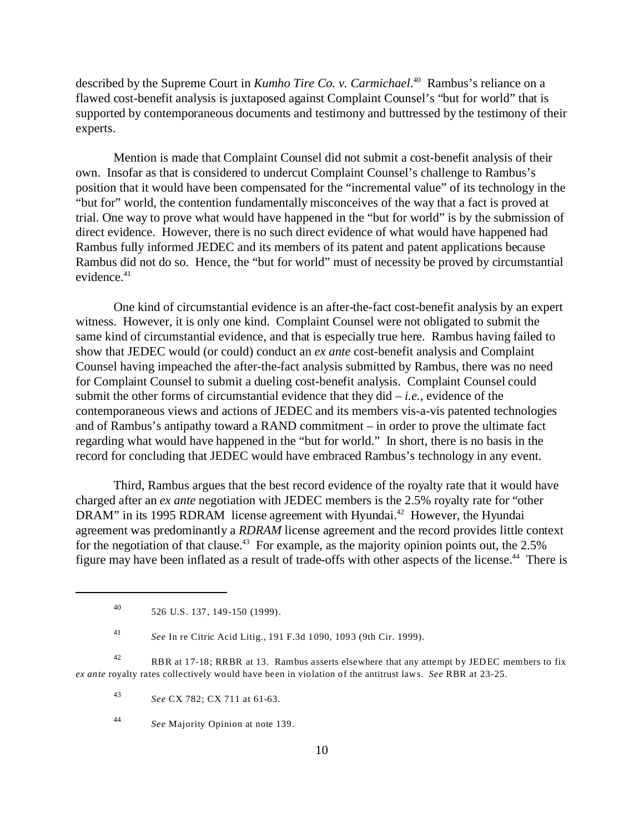described by the Supreme Court in *Kumho Tire Co. v. Carmichael*.<sup>40</sup> Rambus's reliance on a flawed cost-benefit analysis is juxtaposed against Complaint Counsel's "but for world" that is supported by contemporaneous documents and testimony and buttressed by the testimony of their experts.

Mention is made that Complaint Counsel did not submit a cost-benefit analysis of their own. Insofar as that is considered to undercut Complaint Counsel's challenge to Rambus's position that it would have been compensated for the "incremental value" of its technology in the "but for" world, the contention fundamentally misconceives of the way that a fact is proved at trial. One way to prove what would have happened in the "but for world" is by the submission of direct evidence. However, there is no such direct evidence of what would have happened had Rambus fully informed JEDEC and its members of its patent and patent applications because Rambus did not do so. Hence, the "but for world" must of necessity be proved by circumstantial evidence.<sup>41</sup>

One kind of circumstantial evidence is an after-the-fact cost-benefit analysis by an expert witness. However, it is only one kind. Complaint Counsel were not obligated to submit the same kind of circumstantial evidence, and that is especially true here. Rambus having failed to show that JEDEC would (or could) conduct an *ex ante* cost-benefit analysis and Complaint Counsel having impeached the after-the-fact analysis submitted by Rambus, there was no need for Complaint Counsel to submit a dueling cost-benefit analysis. Complaint Counsel could submit the other forms of circumstantial evidence that they  $did - i.e.$ , evidence of the contemporaneous views and actions of JEDEC and its members vis-a-vis patented technologies and of Rambus's antipathy toward a RAND commitment – in order to prove the ultimate fact regarding what would have happened in the "but for world." In short, there is no basis in the record for concluding that JEDEC would have embraced Rambus's technology in any event.

Third, Rambus argues that the best record evidence of the royalty rate that it would have charged after an *ex ante* negotiation with JEDEC members is the 2.5% royalty rate for "other DRAM" in its 1995 RDRAM license agreement with Hyundai.<sup>42</sup> However, the Hyundai agreement was predominantly a *RDRAM* license agreement and the record provides little context for the negotiation of that clause.<sup>43</sup> For example, as the majority opinion points out, the  $2.5\%$ figure may have been inflated as a result of trade-offs with other aspects of the license.<sup>44</sup> There is

<sup>41</sup> *See* In re Citric Acid Litig., 191 F.3d 1090, 1093 (9th Cir. 1999).

<sup>42</sup> RBR at 17-18; RRBR at 13. Rambus asserts elsewhere that any attempt by JEDEC members to fix *ex ante* royalty rates collectively would have been in violation of the antitrust laws. *See* RBR at 23-25.

<sup>43</sup> *See* CX 782; CX 711 at 61-63.

<sup>40</sup> 526 U.S. 137, 149-150 (1999).

<sup>44</sup> *See* Majority Opinion at note 139.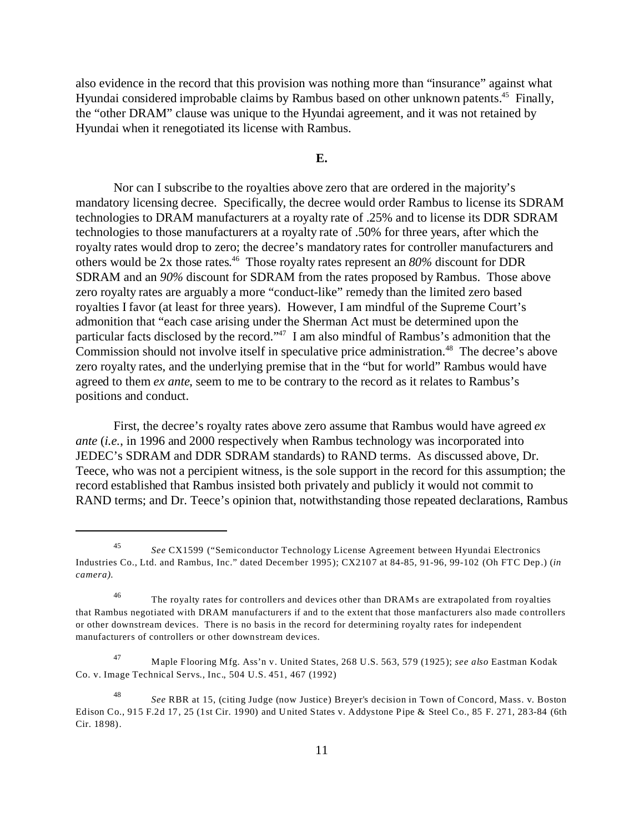also evidence in the record that this provision was nothing more than "insurance" against what Hyundai considered improbable claims by Rambus based on other unknown patents.<sup>45</sup> Finally, the "other DRAM" clause was unique to the Hyundai agreement, and it was not retained by Hyundai when it renegotiated its license with Rambus.

#### **E.**

Nor can I subscribe to the royalties above zero that are ordered in the majority's mandatory licensing decree. Specifically, the decree would order Rambus to license its SDRAM technologies to DRAM manufacturers at a royalty rate of .25% and to license its DDR SDRAM technologies to those manufacturers at a royalty rate of .50% for three years, after which the royalty rates would drop to zero; the decree's mandatory rates for controller manufacturers and others would be 2x those rates. <sup>46</sup> Those royalty rates represent an *80%* discount for DDR SDRAM and an *90%* discount for SDRAM from the rates proposed by Rambus. Those above zero royalty rates are arguably a more "conduct-like" remedy than the limited zero based royalties I favor (at least for three years). However, I am mindful of the Supreme Court's admonition that "each case arising under the Sherman Act must be determined upon the particular facts disclosed by the record."<sup>47</sup> I am also mindful of Rambus's admonition that the Commission should not involve itself in speculative price administration.<sup>48</sup> The decree's above zero royalty rates, and the underlying premise that in the "but for world" Rambus would have agreed to them *ex ante*, seem to me to be contrary to the record as it relates to Rambus's positions and conduct.

First, the decree's royalty rates above zero assume that Rambus would have agreed *ex ante* (*i.e.*, in 1996 and 2000 respectively when Rambus technology was incorporated into JEDEC's SDRAM and DDR SDRAM standards) to RAND terms. As discussed above, Dr. Teece, who was not a percipient witness, is the sole support in the record for this assumption; the record established that Rambus insisted both privately and publicly it would not commit to RAND terms; and Dr. Teece's opinion that, notwithstanding those repeated declarations, Rambus

<sup>45</sup> *See* CX1599 ("Semiconductor Technology License Agreement between Hyundai Electronics Industries Co., Ltd. and Rambus, Inc." dated December 1995); CX2107 at 84-85, 91-96, 99-102 (Oh FTC Dep.) (*in camera)*.

<sup>&</sup>lt;sup>46</sup> The royalty rates for controllers and devices other than DRAMs are extrapolated from royalties that Rambus negotiated with DRAM manufacturers if and to the extent that those manfacturers also made controllers or other downstream devices. There is no basis in the record for determining royalty rates for independent manufacturers of controllers or other downstream devices.

<sup>47</sup> Maple Flooring Mfg. Ass'n v. United States, 268 U.S. 563, 579 (1925); *see also* Eastman Kodak Co. v. Image Technical Servs., Inc., 504 U.S. 451, 467 (1992)

<sup>48</sup> *See* RBR at 15, (citing Judge (now Justice) Breyer's decision in Town of Concord, Mass. v. Boston Edison Co., 915 F.2d 17, 25 (1st Cir. 1990) and United States v. Addystone Pipe & Steel Co., 85 F. 271, 283-84 (6th Cir. 1898).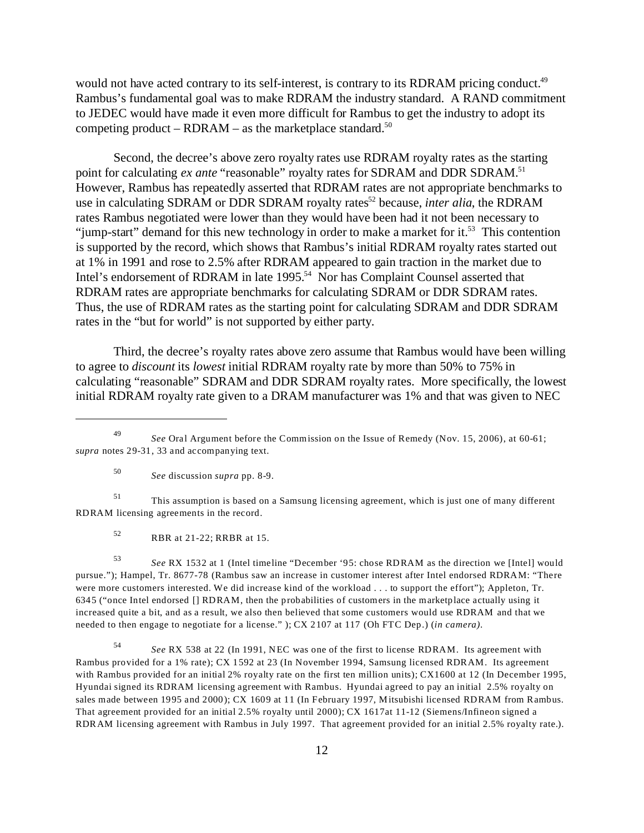would not have acted contrary to its self-interest, is contrary to its RDRAM pricing conduct.<sup>49</sup> Rambus's fundamental goal was to make RDRAM the industry standard. A RAND commitment to JEDEC would have made it even more difficult for Rambus to get the industry to adopt its competing product – RDRAM – as the marketplace standard.<sup>50</sup>

Second, the decree's above zero royalty rates use RDRAM royalty rates as the starting point for calculating *ex ante* "reasonable" royalty rates for SDRAM and DDR SDRAM.<sup>51</sup> However, Rambus has repeatedly asserted that RDRAM rates are not appropriate benchmarks to use in calculating SDRAM or DDR SDRAM royalty rates<sup>52</sup> because, *inter alia*, the RDRAM rates Rambus negotiated were lower than they would have been had it not been necessary to "jump-start" demand for this new technology in order to make a market for it.<sup>53</sup> This contention is supported by the record, which shows that Rambus's initial RDRAM royalty rates started out at 1% in 1991 and rose to 2.5% after RDRAM appeared to gain traction in the market due to Intel's endorsement of RDRAM in late 1995.<sup>54</sup> Nor has Complaint Counsel asserted that RDRAM rates are appropriate benchmarks for calculating SDRAM or DDR SDRAM rates. Thus, the use of RDRAM rates as the starting point for calculating SDRAM and DDR SDRAM rates in the "but for world" is not supported by either party.

Third, the decree's royalty rates above zero assume that Rambus would have been willing to agree to *discount* its *lowest* initial RDRAM royalty rate by more than 50% to 75% in calculating "reasonable" SDRAM and DDR SDRAM royalty rates. More specifically, the lowest initial RDRAM royalty rate given to a DRAM manufacturer was 1% and that was given to NEC

<sup>50</sup> *See* discussion *supra* pp. 8-9.

<sup>51</sup> This assumption is based on a Samsung licensing agreement, which is just one of many different RDRAM licensing agreements in the record.

<sup>52</sup> RBR at 21-22; RRBR at 15.

<sup>53</sup> *See* RX 1532 at 1 (Intel timeline "December '95: chose RDRAM as the direction we [Intel] would pursue."); Hampel, Tr. 8677-78 (Rambus saw an increase in customer interest after Intel endorsed RDRAM: "There were more customers interested. We did increase kind of the workload . . . to support the effort"); Appleton, Tr. 6345 ("once Intel endorsed [] RDRAM, then the probabilities of customers in the marketplace actually using it increased quite a bit, and as a result, we also then believed that some customers would use RDRAM and that we needed to then engage to negotiate for a license." ); CX 2107 at 117 (Oh FTC Dep.) (*in camera)*.

<sup>54</sup> *See* RX 538 at 22 (In 1991, NEC was one of the first to license RDRAM. Its agreement with Rambus provided for a 1% rate); CX 1592 at 23 (In November 1994, Samsung licensed RDRAM. Its agreement with Rambus provided for an initial 2% royalty rate on the first ten million units); CX1600 at 12 (In December 1995, Hyundai signed its RDRAM licensing agreement with Rambus. Hyundai agreed to pay an initial 2.5% royalty on sales made between 1995 and 2000); CX 1609 at 11 (In February 1997, Mitsubishi licensed RDRAM from Rambus. That agreement provided for an initial 2.5% royalty until 2000); CX 1617at 11-12 (Siemens/Infineon signed a RDRAM licensing agreement with Rambus in July 1997. That agreement provided for an initial 2.5% royalty rate.).

<sup>49</sup> *See* Oral Argument before the Commission on the Issue of Remedy (Nov. 15, 2006), at 60-61; *supra* notes 29-31, 33 and accompanying text.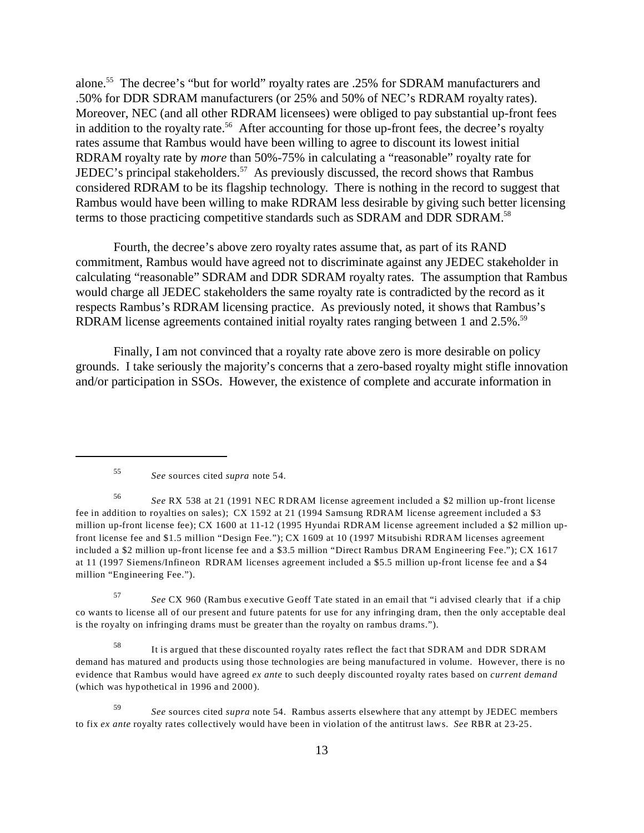alone.<sup>55</sup> The decree's "but for world" royalty rates are .25% for SDRAM manufacturers and .50% for DDR SDRAM manufacturers (or 25% and 50% of NEC's RDRAM royalty rates). Moreover, NEC (and all other RDRAM licensees) were obliged to pay substantial up-front fees in addition to the royalty rate.<sup>56</sup> After accounting for those up-front fees, the decree's royalty rates assume that Rambus would have been willing to agree to discount its lowest initial RDRAM royalty rate by *more* than 50%-75% in calculating a "reasonable" royalty rate for JEDEC's principal stakeholders.<sup>57</sup> As previously discussed, the record shows that Rambus considered RDRAM to be its flagship technology. There is nothing in the record to suggest that Rambus would have been willing to make RDRAM less desirable by giving such better licensing terms to those practicing competitive standards such as SDRAM and DDR SDRAM.<sup>58</sup>

Fourth, the decree's above zero royalty rates assume that, as part of its RAND commitment, Rambus would have agreed not to discriminate against any JEDEC stakeholder in calculating "reasonable" SDRAM and DDR SDRAM royalty rates. The assumption that Rambus would charge all JEDEC stakeholders the same royalty rate is contradicted by the record as it respects Rambus's RDRAM licensing practice. As previously noted, it shows that Rambus's RDRAM license agreements contained initial royalty rates ranging between 1 and  $2.5\%$ .<sup>59</sup>

Finally, I am not convinced that a royalty rate above zero is more desirable on policy grounds. I take seriously the majority's concerns that a zero-based royalty might stifle innovation and/or participation in SSOs. However, the existence of complete and accurate information in

<sup>57</sup> *See* CX 960 (Rambus executive Geoff Tate stated in an email that "i advised clearly that if a chip co wants to license all of our present and future patents for use for any infringing dram, then the only acceptable deal is the royalty on infringing drams must be greater than the royalty on rambus drams.").

<sup>58</sup> It is argued that these discounted royalty rates reflect the fact that SDRAM and DDR SDRAM demand has matured and products using those technologies are being manufactured in volume. However, there is no evidence that Rambus would have agreed *ex ante* to such deeply discounted royalty rates based on *current demand* (which was hypothetical in 1996 and 2000).

<sup>55</sup> *See* sources cited *supra* note 54.

<sup>56</sup> *See* RX 538 at 21 (1991 NEC RDRAM license agreement included a \$2 million up-front license fee in addition to royalties on sales); CX 1592 at 21 (1994 Samsung RDRAM license agreement included a \$3 million up-front license fee); CX 1600 at 11-12 (1995 Hyundai RDRAM license agreement included a \$2 million upfront license fee and \$1.5 million "Design Fee."); CX 1609 at 10 (1997 Mitsubishi RDRAM licenses agreement included a \$2 million up-front license fee and a \$3.5 million "Direct Rambus DRAM Engineering Fee."); CX 1617 at 11 (1997 Siemens/Infineon RDRAM licenses agreement included a \$5.5 million up-front license fee and a \$4 million "Engineering Fee.").

<sup>59</sup> *See* sources cited *supra* note 54. Rambus asserts elsewhere that any attempt by JEDEC members to fix *ex ante* royalty rates collectively would have been in violation of the antitrust laws. *See* RBR at 23-25.